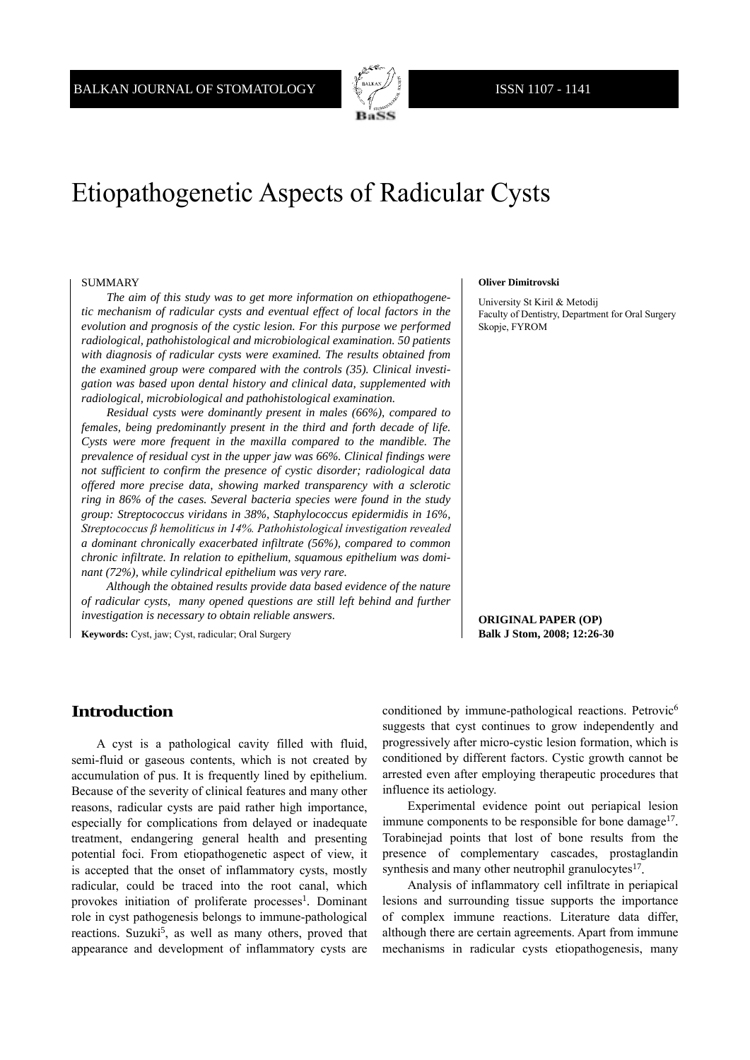

# Etiopathogenetic Aspects of Radicular Cysts

#### SUMMARY

*The aim of this study was to get more information on ethiopathogenetic mechanism of radicular cysts and eventual effect of local factors in the evolution and prognosis of the cystic lesion. For this purpose we performed radiological, pathohistological and microbiological examination. 50 patients with diagnosis of radicular cysts were examined. The results obtained from the examined group were compared with the controls (35). Clinical investigation was based upon dental history and clinical data, supplemented with radiological, microbiological and pathohistological examination.*

*Residual cysts were dominantly present in males (66%), compared to females, being predominantly present in the third and forth decade of life. Cysts were more frequent in the maxilla compared to the mandible. The prevalence of residual cyst in the upper jaw was 66%. Clinical findings were not sufficient to confirm the presence of cystic disorder; radiological data offered more precise data, showing marked transparency with a sclerotic ring in 86% of the cases. Several bacteria species were found in the study group: Streptococcus viridans in 38%, Staphylococcus epidermidis in 16%, Streptococcus β hemoliticus in 14%. Pathohistological investigation revealed a dominant chronically exacerbated infiltrate (56%), compared to common chronic infiltrate. In relation to epithelium, squamous epithelium was dominant (72%), while cylindrical epithelium was very rare.*

*Although the obtained results provide data based evidence of the nature of radicular cysts, many opened questions are still left behind and further investigation is necessary to obtain reliable answers.*

**Keywords:** Cyst, jaw; Cyst, radicular; Oral Surgery

#### **Oliver Dimitrovski**

University St Kiril & Metodij Faculty of Dentistry, Department for Oral Surgery Skopje, FYROM

**ORIGINAL PAPER (OP) Balk J Stom, 2008; 12:26-30**

## **Introduction**

A cyst is a pathological cavity filled with fluid, semi-fluid or gaseous contents, which is not created by accumulation of pus. It is frequently lined by epithelium. Because of the severity of clinical features and many other reasons, radicular cysts are paid rather high importance, especially for complications from delayed or inadequate treatment, endangering general health and presenting potential foci. From etiopathogenetic aspect of view, it is accepted that the onset of inflammatory cysts, mostly radicular, could be traced into the root canal, which provokes initiation of proliferate processes<sup>1</sup>. Dominant role in cyst pathogenesis belongs to immune-pathological reactions. Suzuki<sup>5</sup>, as well as many others, proved that appearance and development of inflammatory cysts are

conditioned by immune-pathological reactions. Petrovic<sup>6</sup> suggests that cyst continues to grow independently and progressively after micro-cystic lesion formation, which is conditioned by different factors. Cystic growth cannot be arrested even after employing therapeutic procedures that influence its aetiology.

Experimental evidence point out periapical lesion immune components to be responsible for bone damage<sup>17</sup>. Torabinejad points that lost of bone results from the presence of complementary cascades, prostaglandin synthesis and many other neutrophil granulocytes $17$ .

Analysis of inflammatory cell infiltrate in periapical lesions and surrounding tissue supports the importance of complex immune reactions. Literature data differ, although there are certain agreements. Apart from immune mechanisms in radicular cysts etiopathogenesis, many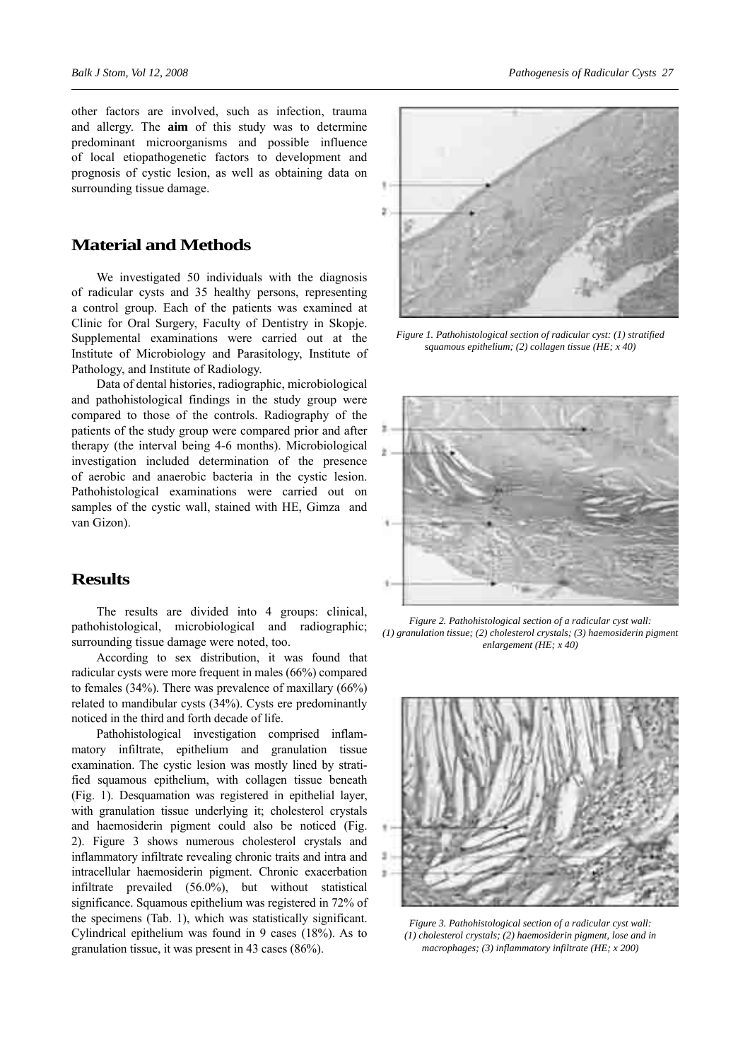other factors are involved, such as infection, trauma and allergy. The **aim** of this study was to determine predominant microorganisms and possible influence of local etiopathogenetic factors to development and prognosis of cystic lesion, as well as obtaining data on surrounding tissue damage.

## **Material and Methods**

We investigated 50 individuals with the diagnosis of radicular cysts and 35 healthy persons, representing a control group. Each of the patients was examined at Clinic for Oral Surgery, Faculty of Dentistry in Skopje. Supplemental examinations were carried out at the Institute of Microbiology and Parasitology, Institute of Pathology, and Institute of Radiology.

Data of dental histories, radiographic, microbiological and pathohistological findings in the study group were compared to those of the controls. Radiography of the patients of the study group were compared prior and after therapy (the interval being 4-6 months). Microbiological investigation included determination of the presence of aerobic and anaerobic bacteria in the cystic lesion. Pathohistological examinations were carried out on samples of the cystic wall, stained with HE, Gimza and van Gizon).

### **Results**

The results are divided into 4 groups: clinical, pathohistological, microbiological and radiographic; surrounding tissue damage were noted, too.

According to sex distribution, it was found that radicular cysts were more frequent in males (66%) compared to females (34%). There was prevalence of maxillary (66%) related to mandibular cysts (34%). Cysts ere predominantly noticed in the third and forth decade of life.

Pathohistological investigation comprised inflammatory infiltrate, epithelium and granulation tissue examination. The cystic lesion was mostly lined by stratified squamous epithelium, with collagen tissue beneath (Fig. 1). Desquamation was registered in epithelial layer, with granulation tissue underlying it; cholesterol crystals and haemosiderin pigment could also be noticed (Fig. 2). Figure 3 shows numerous cholesterol crystals and inflammatory infiltrate revealing chronic traits and intra and intracellular haemosiderin pigment. Chronic exacerbation infiltrate prevailed (56.0%), but without statistical significance. Squamous epithelium was registered in 72% of the specimens (Tab. 1), which was statistically significant. Cylindrical epithelium was found in 9 cases (18%). As to granulation tissue, it was present in 43 cases (86%).



*Figure 1. Pathohistological section of radicular cyst: (1) stratified squamous epithelium; (2) collagen tissue (HE; x 40)*



*Figure 2. Pathohistological section of a radicular cyst wall: (1) granulation tissue; (2) cholesterol crystals; (3) haemosiderin pigment enlargement (HE; x 40)*



*Figure 3. Pathohistological section of a radicular cyst wall: (1) cholesterol crystals; (2) haemosiderin pigment, lose and in macrophages; (3) inflammatory infiltrate (HE; x 200)*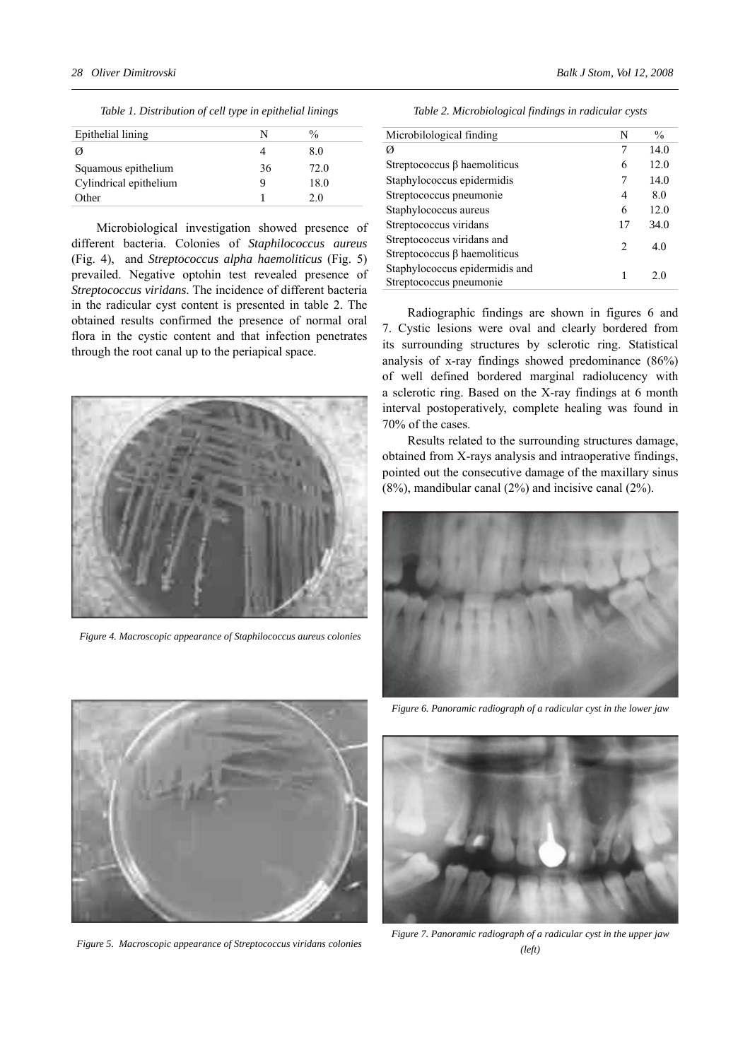| Table 1. Distribution of cell type in epithelial linings |  |  |
|----------------------------------------------------------|--|--|
|                                                          |  |  |

| Epithelial lining      |    | $\frac{0}{0}$ |
|------------------------|----|---------------|
| Ø                      |    | 8.0           |
| Squamous epithelium    | 36 | 72.0          |
| Cylindrical epithelium |    | 18.0          |
| Other                  |    | 20            |

Microbiological investigation showed presence of different bacteria. Colonies of *Staphilococcus aureus* (Fig. 4), and *Streptococcus alpha haemoliticus* (Fig. 5) prevailed. Negative optohin test revealed presence of *Streptococcus viridans*. The incidence of different bacteria in the radicular cyst content is presented in table 2. The obtained results confirmed the presence of normal oral flora in the cystic content and that infection penetrates through the root canal up to the periapical space.



*Figure 4. Macroscopic appearance of Staphilococcus aureus colonies*

*Table 2. Microbiological findings in radicular cysts*

| Microbilological finding                                         | N              | $\frac{0}{0}$ |
|------------------------------------------------------------------|----------------|---------------|
| Ø                                                                | 7              | 14.0          |
| Streptococcus $\beta$ haemoliticus                               | 6              | 12.0          |
| Staphylococcus epidermidis                                       | 7              | 14.0          |
| Streptococcus pneumonie                                          | 4              | 8.0           |
| Staphylococcus aureus                                            | 6              | 12.0          |
| Streptococcus viridans                                           | 17             | 34.0          |
| Streptococcus viridans and<br>Streptococcus $\beta$ haemoliticus | $\mathfrak{D}$ | 4.0           |
| Staphylococcus epidermidis and<br>Streptococcus pneumonie        | 1              | 2.0           |

Radiographic findings are shown in figures 6 and 7. Cystic lesions were oval and clearly bordered from its surrounding structures by sclerotic ring. Statistical analysis of x-ray findings showed predominance (86%) of well defined bordered marginal radiolucency with a sclerotic ring. Based on the X-ray findings at 6 month interval postoperatively, complete healing was found in 70% of the cases.

Results related to the surrounding structures damage, obtained from X-rays analysis and intraoperative findings, pointed out the consecutive damage of the maxillary sinus (8%), mandibular canal (2%) and incisive canal (2%).





*Figure 5. Macroscopic appearance of Streptococcus viridans colonies*

*Figure 6. Panoramic radiograph of a radicular cyst in the lower jaw*



*Figure 7. Panoramic radiograph of a radicular cyst in the upper jaw (left)*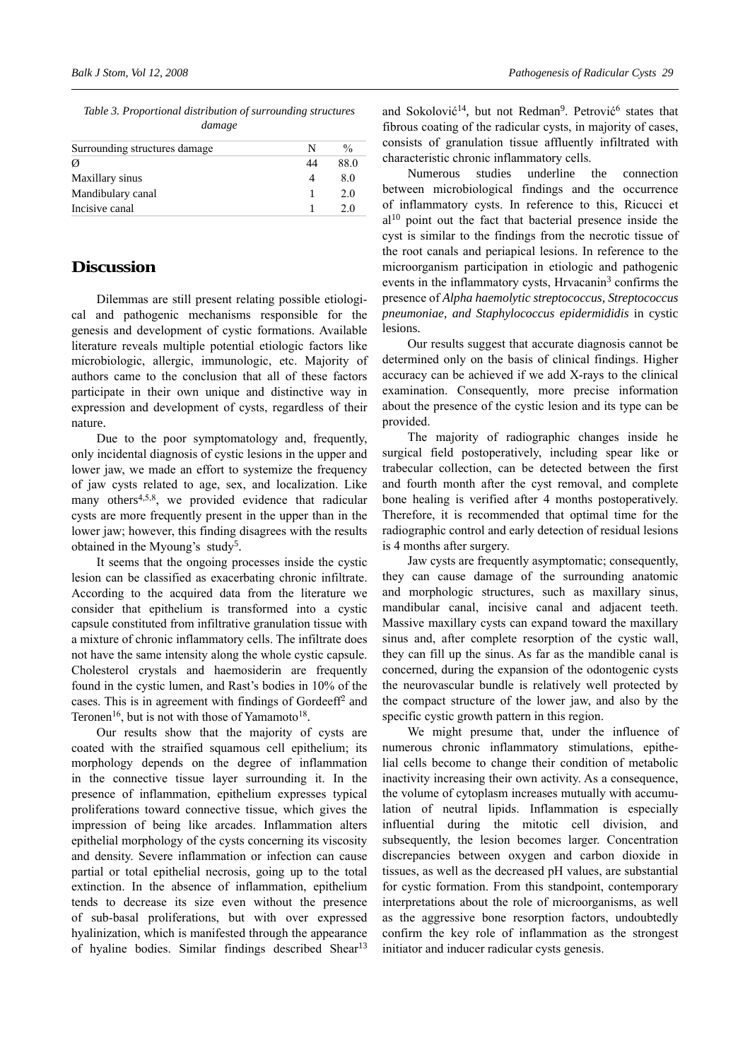*Table 3. Proportional distribution of surrounding structures damage*

| Surrounding structures damage | N | $\frac{0}{0}$ |
|-------------------------------|---|---------------|
| Ø                             |   | 88.0          |
| Maxillary sinus               |   | 80            |
| Mandibulary canal             |   | 20            |
| Incisive canal                |   | 20            |

### **Discussion**

Dilemmas are still present relating possible etiological and pathogenic mechanisms responsible for the genesis and development of cystic formations. Available literature reveals multiple potential etiologic factors like microbiologic, allergic, immunologic, etc. Majority of authors came to the conclusion that all of these factors participate in their own unique and distinctive way in expression and development of cysts, regardless of their nature.

Due to the poor symptomatology and, frequently, only incidental diagnosis of cystic lesions in the upper and lower jaw, we made an effort to systemize the frequency of jaw cysts related to age, sex, and localization. Like many others<sup>4,5,8</sup>, we provided evidence that radicular cysts are more frequently present in the upper than in the lower jaw; however, this finding disagrees with the results obtained in the Myoung's study<sup>5</sup>.

It seems that the ongoing processes inside the cystic lesion can be classified as exacerbating chronic infiltrate. According to the acquired data from the literature we consider that epithelium is transformed into a cystic capsule constituted from infiltrative granulation tissue with a mixture of chronic inflammatory cells. The infiltrate does not have the same intensity along the whole cystic capsule. Cholesterol crystals and haemosiderin are frequently found in the cystic lumen, and Rast's bodies in 10% of the cases. This is in agreement with findings of Gordeeff<sup>2</sup> and Teronen<sup>16</sup>, but is not with those of Yamamoto<sup>18</sup>.

Our results show that the majority of cysts are coated with the straified squamous cell epithelium; its morphology depends on the degree of inflammation in the connective tissue layer surrounding it. In the presence of inflammation, epithelium expresses typical proliferations toward connective tissue, which gives the impression of being like arcades. Inflammation alters epithelial morphology of the cysts concerning its viscosity and density. Severe inflammation or infection can cause partial or total epithelial necrosis, going up to the total extinction. In the absence of inflammation, epithelium tends to decrease its size even without the presence of sub-basal proliferations, but with over expressed hyalinization, which is manifested through the appearance of hyaline bodies. Similar findings described Shear<sup>13</sup> and Sokolović<sup>14</sup>, but not Redman<sup>9</sup>. Petrović<sup>6</sup> states that fibrous coating of the radicular cysts, in majority of cases, consists of granulation tissue affluently infiltrated with characteristic chronic inflammatory cells.

Numerous studies underline the connection between microbiological findings and the occurrence of inflammatory cysts. In reference to this, Ricucci et al10 point out the fact that bacterial presence inside the cyst is similar to the findings from the necrotic tissue of the root canals and periapical lesions. In reference to the microorganism participation in etiologic and pathogenic events in the inflammatory cysts, Hrvacanin<sup>3</sup> confirms the presence of *Alpha haemolytic streptococcus*, *Streptococcus pneumoniae*, *and Staphylococcus epidermididis* in cystic lesions.

Our results suggest that accurate diagnosis cannot be determined only on the basis of clinical findings. Higher accuracy can be achieved if we add X-rays to the clinical examination. Consequently, more precise information about the presence of the cystic lesion and its type can be provided.

The majority of radiographic changes inside he surgical field postoperatively, including spear like or trabecular collection, can be detected between the first and fourth month after the cyst removal, and complete bone healing is verified after 4 months postoperatively. Therefore, it is recommended that optimal time for the radiographic control and early detection of residual lesions is 4 months after surgery.

Jaw cysts are frequently asymptomatic; consequently, they can cause damage of the surrounding anatomic and morphologic structures, such as maxillary sinus, mandibular canal, incisive canal and adjacent teeth. Massive maxillary cysts can expand toward the maxillary sinus and, after complete resorption of the cystic wall, they can fill up the sinus. As far as the mandible canal is concerned, during the expansion of the odontogenic cysts the neurovascular bundle is relatively well protected by the compact structure of the lower jaw, and also by the specific cystic growth pattern in this region.

We might presume that, under the influence of numerous chronic inflammatory stimulations, epithelial cells become to change their condition of metabolic inactivity increasing their own activity. As a consequence, the volume of cytoplasm increases mutually with accumulation of neutral lipids. Inflammation is especially influential during the mitotic cell division, and subsequently, the lesion becomes larger. Concentration discrepancies between oxygen and carbon dioxide in tissues, as well as the decreased pH values, are substantial for cystic formation. From this standpoint, contemporary interpretations about the role of microorganisms, as well as the aggressive bone resorption factors, undoubtedly confirm the key role of inflammation as the strongest initiator and inducer radicular cysts genesis.